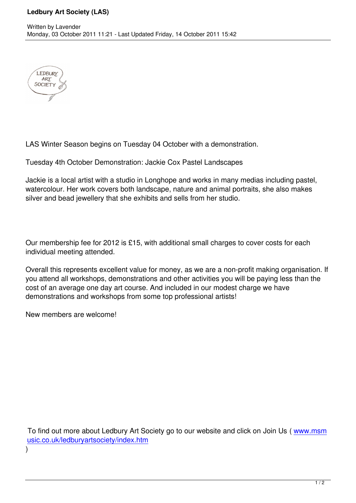

LAS Winter Season begins on Tuesday 04 October with a demonstration.

Tuesday 4th October Demonstration: Jackie Cox Pastel Landscapes

Jackie is a local artist with a studio in Longhope and works in many medias including pastel, watercolour. Her work covers both landscape, nature and animal portraits, she also makes silver and bead jewellery that she exhibits and sells from her studio.

Our membership fee for 2012 is £15, with additional small charges to cover costs for each individual meeting attended.

Overall this represents excellent value for money, as we are a non-profit making organisation. If you attend all workshops, demonstrations and other activities you will be paying less than the cost of an average one day art course. And included in our modest charge we have demonstrations and workshops from some top professional artists!

New members are welcome!

 To find out more about Ledbury Art Society go to our website and click on Join Us ( www.msm usic.co.uk/ledburyartsociety/index.htm